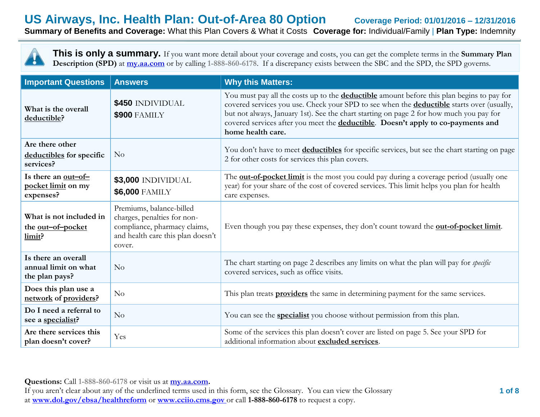# **US Airways, Inc. Health Plan: Out-of-Area 80 Option Coverage Period: 01/01/2016 – 12/31/2016 Summary of Benefits and Coverage:** What this Plan Covers & What it Costs **Coverage for:** Individual/Family | **Plan Type:** Indemnity

**This is only a summary.** If you want more detail about your coverage and costs, you can get the complete terms in the **Summary Plan Description (SPD)** at  $\frac{my.aa.com}{my.}$  or by calling 1-888-860-6178. If a discrepancy exists between the SBC and the SPD, the SPD governs.

| <b>Important Questions</b>                                    | <b>Answers</b>                                                                                                                         | <b>Why this Matters:</b>                                                                                                                                                                                                                                                                                                                                                                                 |
|---------------------------------------------------------------|----------------------------------------------------------------------------------------------------------------------------------------|----------------------------------------------------------------------------------------------------------------------------------------------------------------------------------------------------------------------------------------------------------------------------------------------------------------------------------------------------------------------------------------------------------|
| What is the overall<br>deductible?                            | \$450 INDIVIDUAL<br><b>\$900 FAMILY</b>                                                                                                | You must pay all the costs up to the <b>deductible</b> amount before this plan begins to pay for<br>covered services you use. Check your SPD to see when the <b>deductible</b> starts over (usually,<br>but not always, January 1st). See the chart starting on page 2 for how much you pay for<br>covered services after you meet the deductible. Doesn't apply to co-payments and<br>home health care. |
| Are there other<br>deductibles for specific<br>services?      | No                                                                                                                                     | You don't have to meet <b>deductibles</b> for specific services, but see the chart starting on page<br>2 for other costs for services this plan covers.                                                                                                                                                                                                                                                  |
| Is there an out-of-<br>pocket limit on my<br>expenses?        | \$3,000 INDIVIDUAL<br><b>\$6,000 FAMILY</b>                                                                                            | The <b>out-of-pocket limit</b> is the most you could pay during a coverage period (usually one<br>year) for your share of the cost of covered services. This limit helps you plan for health<br>care expenses.                                                                                                                                                                                           |
| What is not included in<br>the out-of-pocket<br>limit?        | Premiums, balance-billed<br>charges, penalties for non-<br>compliance, pharmacy claims,<br>and health care this plan doesn't<br>cover. | Even though you pay these expenses, they don't count toward the <b>out-of-pocket limit</b> .                                                                                                                                                                                                                                                                                                             |
| Is there an overall<br>annual limit on what<br>the plan pays? | No                                                                                                                                     | The chart starting on page 2 describes any limits on what the plan will pay for <i>specific</i><br>covered services, such as office visits.                                                                                                                                                                                                                                                              |
| Does this plan use a<br>network of providers?                 | No                                                                                                                                     | This plan treats <b>providers</b> the same in determining payment for the same services.                                                                                                                                                                                                                                                                                                                 |
| Do I need a referral to<br>see a specialist?                  | No                                                                                                                                     | You can see the <b>specialist</b> you choose without permission from this plan.                                                                                                                                                                                                                                                                                                                          |
| Are there services this<br>plan doesn't cover?                | Yes                                                                                                                                    | Some of the services this plan doesn't cover are listed on page 5. See your SPD for<br>additional information about excluded services.                                                                                                                                                                                                                                                                   |

**Questions:** Call **1-888-860-6178** or visit us at **my.aa.com.**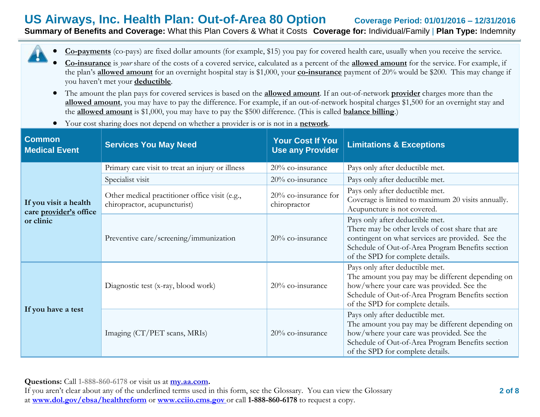# **US Airways, Inc. Health Plan: Out-of-Area 80 Option Coverage Period: 01/01/2016 – 12/31/2016 Summary of Benefits and Coverage:** What this Plan Covers & What it Costs **Coverage for:** Individual/Family | **Plan Type:** Indemnity

**Co-payments** (co-pays) are fixed dollar amounts (for example, \$15) you pay for covered health care, usually when you receive the service.

- **Co-insurance** is *your* share of the costs of a covered service, calculated as a percent of the **allowed amount** for the service. For example, if the plan's **allowed amount** for an overnight hospital stay is \$1,000, your **co-insurance** payment of 20% would be \$200. This may change if you haven't met your **deductible**.
- The amount the plan pays for covered services is based on the **allowed amount**. If an out-of-network **provider** charges more than the **allowed amount**, you may have to pay the difference. For example, if an out-of-network hospital charges \$1,500 for an overnight stay and the **allowed amount** is \$1,000, you may have to pay the \$500 difference. (This is called **balance billing**.)
- Your cost sharing does not depend on whether a provider is or is not in a **network**.

| <b>Common</b><br><b>Medical Event</b>           | <b>Services You May Need</b>                                                   | <b>Your Cost If You</b><br><b>Use any Provider</b> | <b>Limitations &amp; Exceptions</b>                                                                                                                                                                                              |
|-------------------------------------------------|--------------------------------------------------------------------------------|----------------------------------------------------|----------------------------------------------------------------------------------------------------------------------------------------------------------------------------------------------------------------------------------|
|                                                 | Primary care visit to treat an injury or illness                               | $20\%$ co-insurance                                | Pays only after deductible met.                                                                                                                                                                                                  |
|                                                 | Specialist visit                                                               | 20% co-insurance                                   | Pays only after deductible met.                                                                                                                                                                                                  |
| If you visit a health<br>care provider's office | Other medical practitioner office visit (e.g.,<br>chiropractor, acupuncturist) | 20% co-insurance for<br>chiropractor               | Pays only after deductible met.<br>Coverage is limited to maximum 20 visits annually.<br>Acupuncture is not covered.                                                                                                             |
| or clinic                                       | Preventive care/screening/immunization                                         | 20% co-insurance                                   | Pays only after deductible met.<br>There may be other levels of cost share that are<br>contingent on what services are provided. See the<br>Schedule of Out-of-Area Program Benefits section<br>of the SPD for complete details. |
|                                                 | Diagnostic test (x-ray, blood work)                                            | 20% co-insurance                                   | Pays only after deductible met.<br>The amount you pay may be different depending on<br>how/where your care was provided. See the<br>Schedule of Out-of-Area Program Benefits section<br>of the SPD for complete details.         |
| If you have a test                              | Imaging (CT/PET scans, MRIs)                                                   | 20% co-insurance                                   | Pays only after deductible met.<br>The amount you pay may be different depending on<br>how/where your care was provided. See the<br>Schedule of Out-of-Area Program Benefits section<br>of the SPD for complete details.         |

**Questions:** Call **1-888-860-6178** or visit us at **my.aa.com.**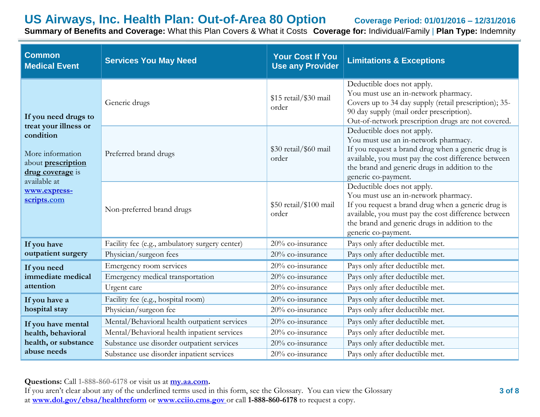**Summary of Benefits and Coverage:** What this Plan Covers & What it Costs **Coverage for:** Individual/Family | **Plan Type:** Indemnity

| <b>Common</b><br><b>Medical Event</b>                                                   | <b>Services You May Need</b>                   | <b>Your Cost If You</b><br><b>Use any Provider</b> | <b>Limitations &amp; Exceptions</b>                                                                                                                                                                                                                      |
|-----------------------------------------------------------------------------------------|------------------------------------------------|----------------------------------------------------|----------------------------------------------------------------------------------------------------------------------------------------------------------------------------------------------------------------------------------------------------------|
| If you need drugs to<br>treat your illness or                                           | Generic drugs                                  | \$15 retail/\$30 mail<br>order                     | Deductible does not apply.<br>You must use an in-network pharmacy.<br>Covers up to 34 day supply (retail prescription); 35-<br>90 day supply (mail order prescription).<br>Out-of-network prescription drugs are not covered.                            |
| condition<br>More information<br>about prescription<br>drug coverage is<br>available at | Preferred brand drugs                          | \$30 retail/\$60 mail<br>order                     | Deductible does not apply.<br>You must use an in-network pharmacy.<br>If you request a brand drug when a generic drug is<br>available, you must pay the cost difference between<br>the brand and generic drugs in addition to the<br>generic co-payment. |
| www.express-<br>scripts.com                                                             | Non-preferred brand drugs                      | \$50 retail/\$100 mail<br>order                    | Deductible does not apply.<br>You must use an in-network pharmacy.<br>If you request a brand drug when a generic drug is<br>available, you must pay the cost difference between<br>the brand and generic drugs in addition to the<br>generic co-payment. |
| If you have                                                                             | Facility fee (e.g., ambulatory surgery center) | 20% co-insurance                                   | Pays only after deductible met.                                                                                                                                                                                                                          |
| outpatient surgery                                                                      | Physician/surgeon fees                         | 20% co-insurance                                   | Pays only after deductible met.                                                                                                                                                                                                                          |
| If you need                                                                             | Emergency room services                        | 20% co-insurance                                   | Pays only after deductible met.                                                                                                                                                                                                                          |
| immediate medical                                                                       | Emergency medical transportation               | 20% co-insurance                                   | Pays only after deductible met.                                                                                                                                                                                                                          |
| attention                                                                               | Urgent care                                    | 20% co-insurance                                   | Pays only after deductible met.                                                                                                                                                                                                                          |
| If you have a                                                                           | Facility fee (e.g., hospital room)             | 20% co-insurance                                   | Pays only after deductible met.                                                                                                                                                                                                                          |
| hospital stay                                                                           | Physician/surgeon fee                          | 20% co-insurance                                   | Pays only after deductible met.                                                                                                                                                                                                                          |
| If you have mental                                                                      | Mental/Behavioral health outpatient services   | 20% co-insurance                                   | Pays only after deductible met.                                                                                                                                                                                                                          |
| health, behavioral                                                                      | Mental/Behavioral health inpatient services    | 20% co-insurance                                   | Pays only after deductible met.                                                                                                                                                                                                                          |
| health, or substance                                                                    | Substance use disorder outpatient services     | 20% co-insurance                                   | Pays only after deductible met.                                                                                                                                                                                                                          |
| abuse needs                                                                             | Substance use disorder inpatient services      | 20% co-insurance                                   | Pays only after deductible met.                                                                                                                                                                                                                          |

**Questions:** Call **1-888-860-6178** or visit us at **my.aa.com.**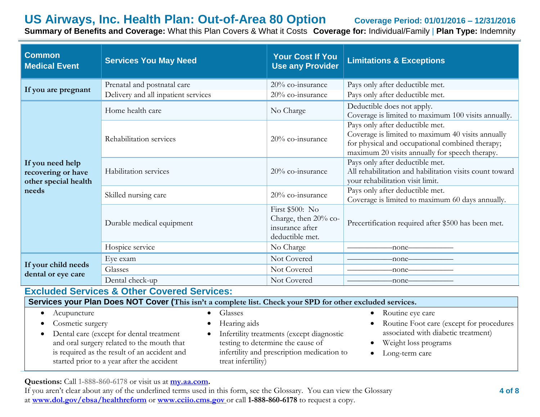**Summary of Benefits and Coverage:** What this Plan Covers & What it Costs **Coverage for:** Individual/Family | **Plan Type:** Indemnity

| <b>Common</b><br><b>Medical Event</b>                                   | <b>Services You May Need</b>        | <b>Your Cost If You</b><br><b>Use any Provider</b>                            | <b>Limitations &amp; Exceptions</b>                                                                                                                                                       |
|-------------------------------------------------------------------------|-------------------------------------|-------------------------------------------------------------------------------|-------------------------------------------------------------------------------------------------------------------------------------------------------------------------------------------|
| If you are pregnant                                                     | Prenatal and postnatal care         | 20% co-insurance                                                              | Pays only after deductible met.                                                                                                                                                           |
|                                                                         | Delivery and all inpatient services | 20% co-insurance                                                              | Pays only after deductible met.                                                                                                                                                           |
|                                                                         | Home health care                    | No Charge                                                                     | Deductible does not apply.<br>Coverage is limited to maximum 100 visits annually.                                                                                                         |
|                                                                         | Rehabilitation services             | 20% co-insurance                                                              | Pays only after deductible met.<br>Coverage is limited to maximum 40 visits annually<br>for physical and occupational combined therapy;<br>maximum 20 visits annually for speech therapy. |
| If you need help<br>recovering or have<br>other special health<br>needs | Habilitation services               | 20% co-insurance                                                              | Pays only after deductible met.<br>All rehabilitation and habilitation visits count toward<br>your rehabilitation visit limit.                                                            |
|                                                                         | Skilled nursing care                | 20% co-insurance                                                              | Pays only after deductible met.<br>Coverage is limited to maximum 60 days annually.                                                                                                       |
|                                                                         | Durable medical equipment           | First \$500: No<br>Charge, then 20% co-<br>insurance after<br>deductible met. | Precertification required after \$500 has been met.                                                                                                                                       |
|                                                                         | Hospice service                     | No Charge                                                                     | -none-                                                                                                                                                                                    |
|                                                                         | Eye exam                            | Not Covered                                                                   |                                                                                                                                                                                           |
| If your child needs                                                     | Glasses                             | Not Covered                                                                   |                                                                                                                                                                                           |
| dental or eye care                                                      | Dental check-up                     | Not Covered                                                                   | $\leftarrow$ none $\leftarrow$                                                                                                                                                            |

## **Excluded Services & Other Covered Services:**

**Services your Plan Does NOT Cover (This isn't a complete list. Check your SPD for other excluded services.** • Acupuncture Cosmetic surgery Dental care (except for dental treatment and oral surgery related to the mouth that is required as the result of an accident and started prior to a year after the accident • Glasses Hearing aids Infertility treatments (except diagnostic testing to determine the cause of infertility and prescription medication to treat infertility) • Routine eye care Routine Foot care (except for procedures associated with diabetic treatment) Weight loss programs • Long-term care

**Questions:** Call **1-888-860-6178** or visit us at **my.aa.com.**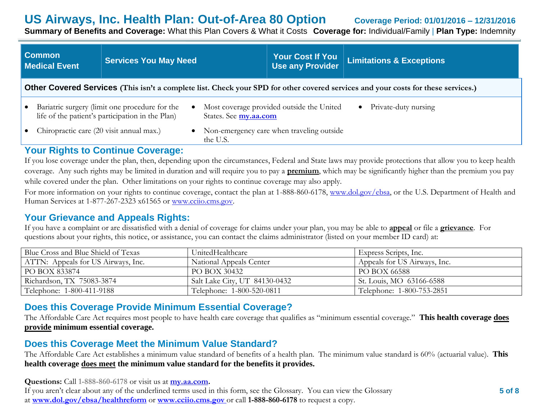**Summary of Benefits and Coverage:** What this Plan Covers & What it Costs **Coverage for:** Individual/Family | **Plan Type:** Indemnity

|           | <b>Common</b><br><b>Medical Event</b>                                                                                                                                                                         | <b>Services You May Need</b> |          | <b>Your Cost If You</b><br><b>Use any Provider</b> | <b>Limitations &amp; Exceptions</b> |
|-----------|---------------------------------------------------------------------------------------------------------------------------------------------------------------------------------------------------------------|------------------------------|----------|----------------------------------------------------|-------------------------------------|
|           | Other Covered Services (This isn't a complete list. Check your SPD for other covered services and your costs for these services.)                                                                             |                              |          |                                                    |                                     |
| $\bullet$ | Most coverage provided outside the United<br>Private-duty nursing<br>Bariatric surgery (limit one procedure for the<br>$\bullet$<br>life of the patient's participation in the Plan)<br>States. See my.aa.com |                              |          |                                                    |                                     |
|           | Chiropractic care (20 visit annual max.)                                                                                                                                                                      |                              | the U.S. | • Non-emergency care when traveling outside        |                                     |
|           | Vour Diabte to Continua Coversas                                                                                                                                                                              |                              |          |                                                    |                                     |

## **Your Rights to Continue Coverage:**

If you lose coverage under the plan, then, depending upon the circumstances, Federal and State laws may provide protections that allow you to keep health coverage. Any such rights may be limited in duration and will require you to pay a **premium**, which may be significantly higher than the premium you pay while covered under the plan. Other limitations on your rights to continue coverage may also apply.

For more information on your rights to continue coverage, contact the plan at 1-888-860-6178, www.dol.gov/ebsa, or the U.S. Department of Health and Human Services at 1-877-267-2323 x61565 or www.cciio.cms.gov.

## **Your Grievance and Appeals Rights:**

If you have a complaint or are dissatisfied with a denial of coverage for claims under your plan, you may be able to **appeal** or file a **grievance**. For questions about your rights, this notice, or assistance, you can contact the claims administrator (listed on your member ID card) at:

| Blue Cross and Blue Shield of Texas | UnitedHealthcare              | $\vert$ Express Scripts, Inc. |
|-------------------------------------|-------------------------------|-------------------------------|
| ATTN: Appeals for US Airways, Inc.  | National Appeals Center       | Appeals for US Airways, Inc.  |
| PO BOX 833874                       | PO BOX 30432                  | PO BOX 66588                  |
| Richardson, TX 75083-3874           | Salt Lake City, UT 84130-0432 | St. Louis, MO 63166-6588      |
| Telephone: 1-800-411-9188           | Telephone: 1-800-520-0811     | Telephone: 1-800-753-2851     |

# **Does this Coverage Provide Minimum Essential Coverage?**

The Affordable Care Act requires most people to have health care coverage that qualifies as "minimum essential coverage." **This health coverage does provide minimum essential coverage.**

# **Does this Coverage Meet the Minimum Value Standard?**

The Affordable Care Act establishes a minimum value standard of benefits of a health plan. The minimum value standard is 60% (actuarial value). **This health coverage does meet the minimum value standard for the benefits it provides.**

**Questions:** Call **1-888-860-6178** or visit us at **my.aa.com.**

If you aren't clear about any of the underlined terms used in this form, see the Glossary. You can view the Glossary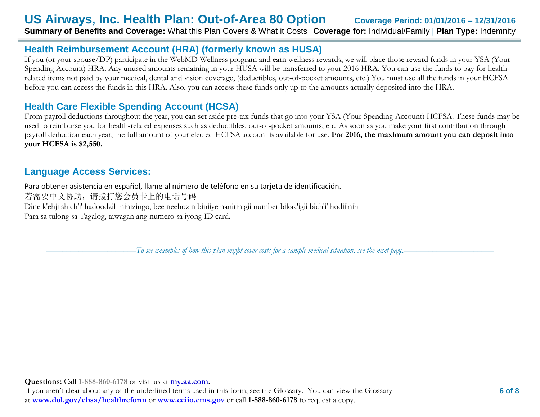# **Health Reimbursement Account (HRA) (formerly known as HUSA)**

If you (or your spouse/DP) participate in the WebMD Wellness program and earn wellness rewards, we will place those reward funds in your YSA (Your Spending Account) HRA. Any unused amounts remaining in your HUSA will be transferred to your 2016 HRA. You can use the funds to pay for healthrelated items not paid by your medical, dental and vision coverage, (deductibles, out-of-pocket amounts, etc.) You must use all the funds in your HCFSA before you can access the funds in this HRA. Also, you can access these funds only up to the amounts actually deposited into the HRA.

# **Health Care Flexible Spending Account (HCSA)**

From payroll deductions throughout the year, you can set aside pre-tax funds that go into your YSA (Your Spending Account) HCFSA. These funds may be used to reimburse you for health-related expenses such as deductibles, out-of-pocket amounts, etc. As soon as you make your first contribution through payroll deduction each year, the full amount of your elected HCFSA account is available for use. **For 2016, the maximum amount you can deposit into your HCFSA is \$2,550.** 

# **Language Access Services:**

Para obtener asistencia en español, llame al número de teléfono en su tarjeta de identificación. 若需要中文协助,请拨打您会员卡上的电话号码 Dine k'ehji shich'i' hadoodzih ninizingo, bee neehozin biniiye nanitinigii number bikaa'igii bich'i' hodiilnih Para sa tulong sa Tagalog, tawagan ang numero sa iyong ID card.

––––––––––––––––––––––*To see examples of how this plan might cover costs for a sample medical situation, see the next page.–––––––––––*–––––––––––

**Questions:** Call **1-888-860-6178** or visit us at **my.aa.com.**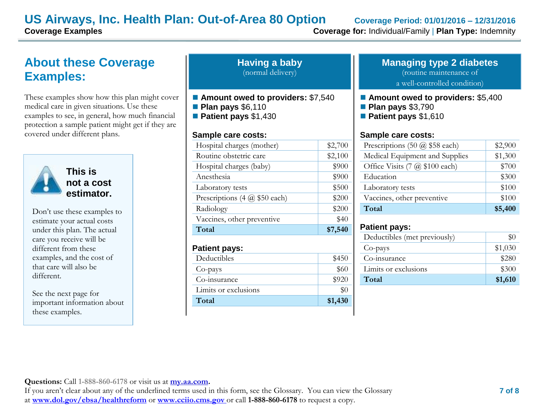# **About these Coverage Examples:**

These examples show how this plan might cover medical care in given situations. Use these examples to see, in general, how much financial protection a sample patient might get if they are covered under different plans.



**This is not a cost estimator.** 

Don't use these examples to estimate your actual costs under this plan. The actual care you receive will be different from these examples, and the cost of that care will also be different.

See the next page for important information about these examples.

| <b>Having a baby</b> |  |
|----------------------|--|
| (normal delivery)    |  |

- Amount owed to providers: \$7,540
- **Plan pays** \$6,110
- **Patient pays** \$1,430

### **Sample care costs:**

| \$40    |
|---------|
|         |
| \$200   |
| \$200   |
| \$500   |
| \$900   |
| \$900   |
| \$2,100 |
| \$2,700 |
|         |

### **Patient pays:**

| Deductibles          | \$450   |
|----------------------|---------|
| Co-pays              | \$60    |
| Co-insurance         | \$920   |
| Limits or exclusions |         |
| Total                | \$1,430 |

#### **Managing type 2 diabetes** (routine maintenance of

a well-controlled condition)

- **Amount owed to providers: \$5,400**
- **Plan pays** \$3,790
- **Patient pays** \$1,610

### **Sample care costs:**

| Prescriptions $(50 \text{ @ } $58 \text{ each})$ | \$2,900 |
|--------------------------------------------------|---------|
| Medical Equipment and Supplies                   | \$1,300 |
| Office Visits (7 @ \$100 each)                   | \$700   |
| Education                                        | \$300   |
| Laboratory tests                                 | \$100   |
| Vaccines, other preventive                       | \$100   |
| Total                                            | \$5,400 |

### **Patient pays:**

| Deductibles (met previously) |         |
|------------------------------|---------|
| Co-pays                      | \$1,030 |
| Co-insurance                 | \$280   |
| Limits or exclusions         | \$300   |
| Total                        | \$1,610 |

**Questions:** Call **1-888-860-6178** or visit us at **my.aa.com.**